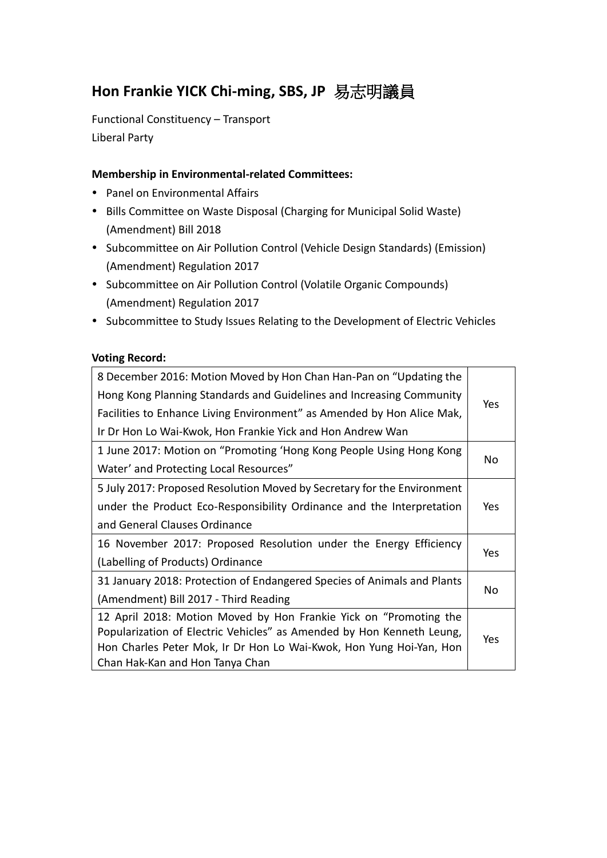# **Hon Frankie YICK Chi-ming, SBS, JP** 易志明議員

Functional Constituency – Transport Liberal Party

### **Membership in Environmental-related Committees:**

- Panel on Environmental Affairs
- Bills Committee on Waste Disposal (Charging for Municipal Solid Waste) (Amendment) Bill 2018
- Subcommittee on Air Pollution Control (Vehicle Design Standards) (Emission) (Amendment) Regulation 2017
- Subcommittee on Air Pollution Control (Volatile Organic Compounds) (Amendment) Regulation 2017
- Subcommittee to Study Issues Relating to the Development of Electric Vehicles

#### **Voting Record:**

| 8 December 2016: Motion Moved by Hon Chan Han-Pan on "Updating the      |            |
|-------------------------------------------------------------------------|------------|
| Hong Kong Planning Standards and Guidelines and Increasing Community    |            |
| Facilities to Enhance Living Environment" as Amended by Hon Alice Mak,  | Yes        |
| Ir Dr Hon Lo Wai-Kwok, Hon Frankie Yick and Hon Andrew Wan              |            |
| 1 June 2017: Motion on "Promoting 'Hong Kong People Using Hong Kong     | No         |
| Water' and Protecting Local Resources"                                  |            |
| 5 July 2017: Proposed Resolution Moved by Secretary for the Environment |            |
| under the Product Eco-Responsibility Ordinance and the Interpretation   |            |
| and General Clauses Ordinance                                           |            |
| 16 November 2017: Proposed Resolution under the Energy Efficiency       | Yes        |
| (Labelling of Products) Ordinance                                       |            |
| 31 January 2018: Protection of Endangered Species of Animals and Plants |            |
| (Amendment) Bill 2017 - Third Reading                                   | No         |
| 12 April 2018: Motion Moved by Hon Frankie Yick on "Promoting the       |            |
| Popularization of Electric Vehicles" as Amended by Hon Kenneth Leung,   | <b>Yes</b> |
| Hon Charles Peter Mok, Ir Dr Hon Lo Wai-Kwok, Hon Yung Hoi-Yan, Hon     |            |
| Chan Hak-Kan and Hon Tanya Chan                                         |            |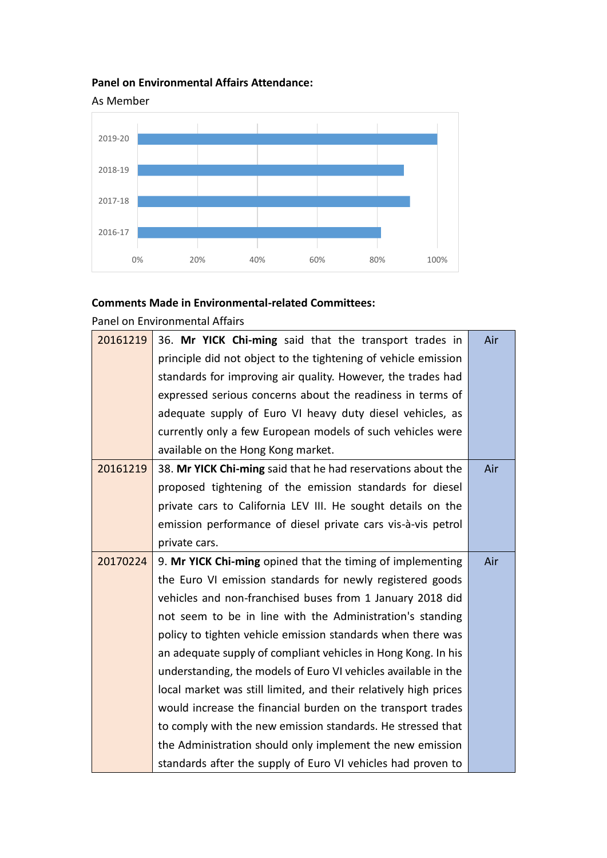## **Panel on Environmental Affairs Attendance:**



## **Comments Made in Environmental-related Committees:**

Panel on Environmental Affairs

| 20161219 | 36. Mr YICK Chi-ming said that the transport trades in           | Air |  |  |  |  |  |  |
|----------|------------------------------------------------------------------|-----|--|--|--|--|--|--|
|          | principle did not object to the tightening of vehicle emission   |     |  |  |  |  |  |  |
|          | standards for improving air quality. However, the trades had     |     |  |  |  |  |  |  |
|          | expressed serious concerns about the readiness in terms of       |     |  |  |  |  |  |  |
|          | adequate supply of Euro VI heavy duty diesel vehicles, as        |     |  |  |  |  |  |  |
|          | currently only a few European models of such vehicles were       |     |  |  |  |  |  |  |
|          | available on the Hong Kong market.                               |     |  |  |  |  |  |  |
| 20161219 | 38. Mr YICK Chi-ming said that he had reservations about the     | Air |  |  |  |  |  |  |
|          | proposed tightening of the emission standards for diesel         |     |  |  |  |  |  |  |
|          | private cars to California LEV III. He sought details on the     |     |  |  |  |  |  |  |
|          | emission performance of diesel private cars vis-à-vis petrol     |     |  |  |  |  |  |  |
|          | private cars.                                                    |     |  |  |  |  |  |  |
| 20170224 | 9. Mr YICK Chi-ming opined that the timing of implementing       | Air |  |  |  |  |  |  |
|          | the Euro VI emission standards for newly registered goods        |     |  |  |  |  |  |  |
|          | vehicles and non-franchised buses from 1 January 2018 did        |     |  |  |  |  |  |  |
|          | not seem to be in line with the Administration's standing        |     |  |  |  |  |  |  |
|          | policy to tighten vehicle emission standards when there was      |     |  |  |  |  |  |  |
|          | an adequate supply of compliant vehicles in Hong Kong. In his    |     |  |  |  |  |  |  |
|          | understanding, the models of Euro VI vehicles available in the   |     |  |  |  |  |  |  |
|          | local market was still limited, and their relatively high prices |     |  |  |  |  |  |  |
|          | would increase the financial burden on the transport trades      |     |  |  |  |  |  |  |
|          | to comply with the new emission standards. He stressed that      |     |  |  |  |  |  |  |
|          | the Administration should only implement the new emission        |     |  |  |  |  |  |  |
|          | standards after the supply of Euro VI vehicles had proven to     |     |  |  |  |  |  |  |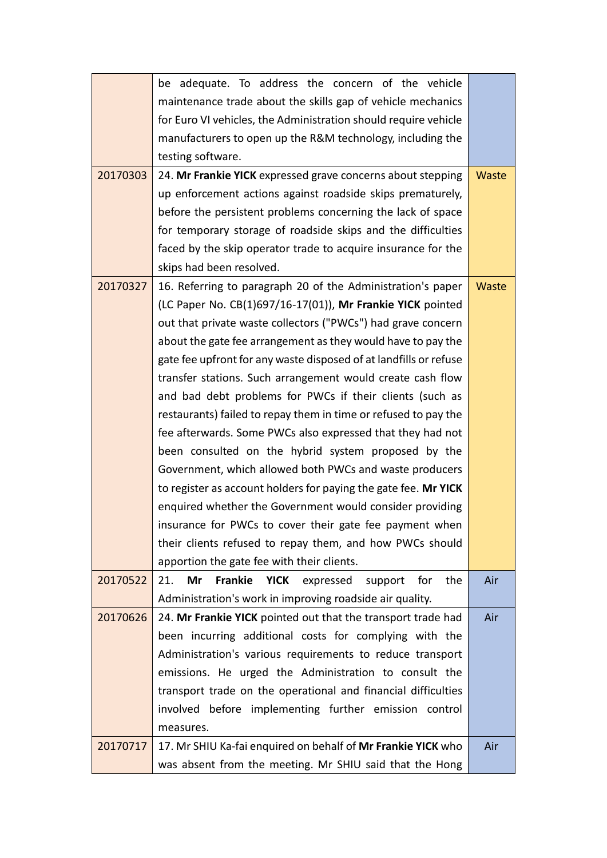|          | be adequate. To address the concern of the vehicle                               |              |  |  |  |  |  |
|----------|----------------------------------------------------------------------------------|--------------|--|--|--|--|--|
|          | maintenance trade about the skills gap of vehicle mechanics                      |              |  |  |  |  |  |
|          | for Euro VI vehicles, the Administration should require vehicle                  |              |  |  |  |  |  |
|          | manufacturers to open up the R&M technology, including the                       |              |  |  |  |  |  |
|          | testing software.                                                                |              |  |  |  |  |  |
| 20170303 | 24. Mr Frankie YICK expressed grave concerns about stepping                      | <b>Waste</b> |  |  |  |  |  |
|          | up enforcement actions against roadside skips prematurely,                       |              |  |  |  |  |  |
|          | before the persistent problems concerning the lack of space                      |              |  |  |  |  |  |
|          | for temporary storage of roadside skips and the difficulties                     |              |  |  |  |  |  |
|          | faced by the skip operator trade to acquire insurance for the                    |              |  |  |  |  |  |
|          | skips had been resolved.                                                         |              |  |  |  |  |  |
| 20170327 | 16. Referring to paragraph 20 of the Administration's paper                      | Waste        |  |  |  |  |  |
|          | (LC Paper No. CB(1)697/16-17(01)), Mr Frankie YICK pointed                       |              |  |  |  |  |  |
|          | out that private waste collectors ("PWCs") had grave concern                     |              |  |  |  |  |  |
|          | about the gate fee arrangement as they would have to pay the                     |              |  |  |  |  |  |
|          | gate fee upfront for any waste disposed of at landfills or refuse                |              |  |  |  |  |  |
|          | transfer stations. Such arrangement would create cash flow                       |              |  |  |  |  |  |
|          | and bad debt problems for PWCs if their clients (such as                         |              |  |  |  |  |  |
|          | restaurants) failed to repay them in time or refused to pay the                  |              |  |  |  |  |  |
|          | fee afterwards. Some PWCs also expressed that they had not                       |              |  |  |  |  |  |
|          | been consulted on the hybrid system proposed by the                              |              |  |  |  |  |  |
|          | Government, which allowed both PWCs and waste producers                          |              |  |  |  |  |  |
|          | to register as account holders for paying the gate fee. Mr YICK                  |              |  |  |  |  |  |
|          | enquired whether the Government would consider providing                         |              |  |  |  |  |  |
|          | insurance for PWCs to cover their gate fee payment when                          |              |  |  |  |  |  |
|          | their clients refused to repay them, and how PWCs should                         |              |  |  |  |  |  |
|          | apportion the gate fee with their clients.                                       |              |  |  |  |  |  |
| 20170522 | 21.<br>Mr<br><b>Frankie</b><br><b>YICK</b><br>the<br>expressed<br>for<br>support | Air          |  |  |  |  |  |
|          | Administration's work in improving roadside air quality.                         |              |  |  |  |  |  |
| 20170626 | 24. Mr Frankie YICK pointed out that the transport trade had                     | Air          |  |  |  |  |  |
|          | been incurring additional costs for complying with the                           |              |  |  |  |  |  |
|          | Administration's various requirements to reduce transport                        |              |  |  |  |  |  |
|          | emissions. He urged the Administration to consult the                            |              |  |  |  |  |  |
|          | transport trade on the operational and financial difficulties                    |              |  |  |  |  |  |
|          | involved before implementing further emission control                            |              |  |  |  |  |  |
|          | measures.                                                                        |              |  |  |  |  |  |
| 20170717 | 17. Mr SHIU Ka-fai enquired on behalf of Mr Frankie YICK who                     | Air          |  |  |  |  |  |
|          | was absent from the meeting. Mr SHIU said that the Hong                          |              |  |  |  |  |  |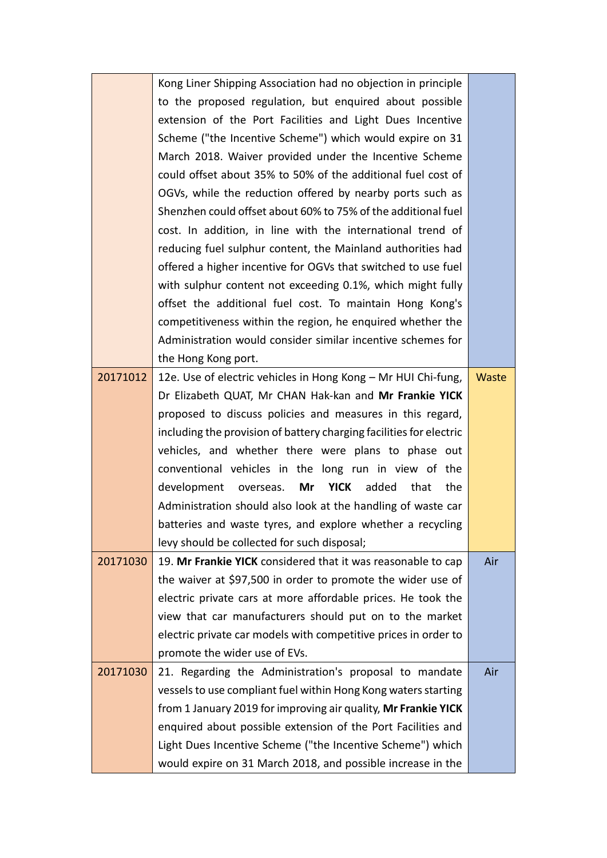|          | Kong Liner Shipping Association had no objection in principle         |       |
|----------|-----------------------------------------------------------------------|-------|
|          | to the proposed regulation, but enquired about possible               |       |
|          | extension of the Port Facilities and Light Dues Incentive             |       |
|          | Scheme ("the Incentive Scheme") which would expire on 31              |       |
|          | March 2018. Waiver provided under the Incentive Scheme                |       |
|          | could offset about 35% to 50% of the additional fuel cost of          |       |
|          | OGVs, while the reduction offered by nearby ports such as             |       |
|          | Shenzhen could offset about 60% to 75% of the additional fuel         |       |
|          | cost. In addition, in line with the international trend of            |       |
|          | reducing fuel sulphur content, the Mainland authorities had           |       |
|          | offered a higher incentive for OGVs that switched to use fuel         |       |
|          | with sulphur content not exceeding 0.1%, which might fully            |       |
|          | offset the additional fuel cost. To maintain Hong Kong's              |       |
|          | competitiveness within the region, he enquired whether the            |       |
|          | Administration would consider similar incentive schemes for           |       |
|          | the Hong Kong port.                                                   |       |
| 20171012 | 12e. Use of electric vehicles in Hong Kong - Mr HUI Chi-fung,         | Waste |
|          | Dr Elizabeth QUAT, Mr CHAN Hak-kan and Mr Frankie YICK                |       |
|          | proposed to discuss policies and measures in this regard,             |       |
|          | including the provision of battery charging facilities for electric   |       |
|          | vehicles, and whether there were plans to phase out                   |       |
|          | conventional vehicles in the long run in view of the                  |       |
|          | development<br>Mr<br><b>YICK</b><br>added<br>that<br>the<br>overseas. |       |
|          | Administration should also look at the handling of waste car          |       |
|          | batteries and waste tyres, and explore whether a recycling            |       |
|          | levy should be collected for such disposal;                           |       |
| 20171030 | 19. Mr Frankie YICK considered that it was reasonable to cap          | Air   |
|          | the waiver at \$97,500 in order to promote the wider use of           |       |
|          | electric private cars at more affordable prices. He took the          |       |
|          | view that car manufacturers should put on to the market               |       |
|          | electric private car models with competitive prices in order to       |       |
|          | promote the wider use of EVs.                                         |       |
| 20171030 | 21. Regarding the Administration's proposal to mandate                | Air   |
|          | vessels to use compliant fuel within Hong Kong waters starting        |       |
|          | from 1 January 2019 for improving air quality, Mr Frankie YICK        |       |
|          | enquired about possible extension of the Port Facilities and          |       |
|          | Light Dues Incentive Scheme ("the Incentive Scheme") which            |       |
|          | would expire on 31 March 2018, and possible increase in the           |       |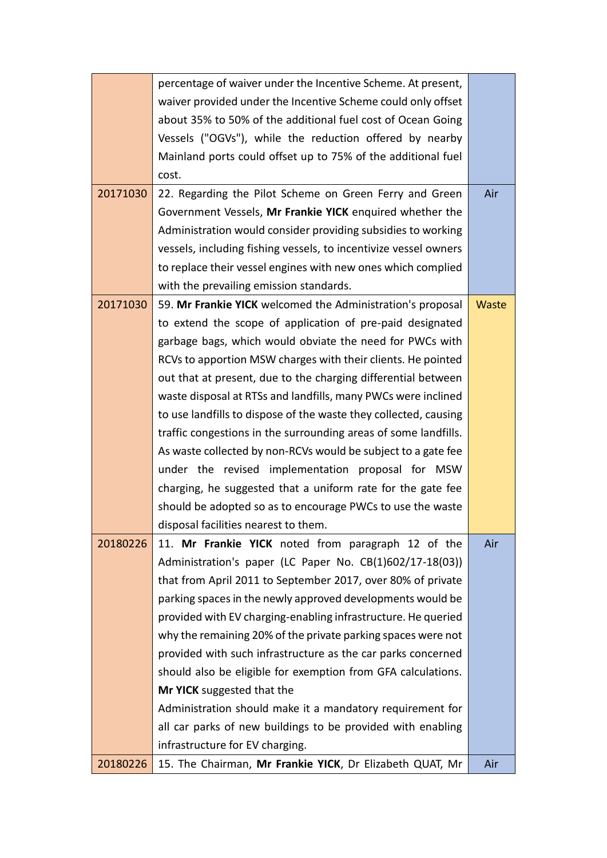|          | percentage of waiver under the Incentive Scheme. At present,     |              |
|----------|------------------------------------------------------------------|--------------|
|          | waiver provided under the Incentive Scheme could only offset     |              |
|          | about 35% to 50% of the additional fuel cost of Ocean Going      |              |
|          | Vessels ("OGVs"), while the reduction offered by nearby          |              |
|          | Mainland ports could offset up to 75% of the additional fuel     |              |
|          | cost.                                                            |              |
| 20171030 | 22. Regarding the Pilot Scheme on Green Ferry and Green          | Air          |
|          | Government Vessels, Mr Frankie YICK enquired whether the         |              |
|          | Administration would consider providing subsidies to working     |              |
|          | vessels, including fishing vessels, to incentivize vessel owners |              |
|          | to replace their vessel engines with new ones which complied     |              |
|          | with the prevailing emission standards.                          |              |
| 20171030 | 59. Mr Frankie YICK welcomed the Administration's proposal       | <b>Waste</b> |
|          | to extend the scope of application of pre-paid designated        |              |
|          | garbage bags, which would obviate the need for PWCs with         |              |
|          | RCVs to apportion MSW charges with their clients. He pointed     |              |
|          | out that at present, due to the charging differential between    |              |
|          | waste disposal at RTSs and landfills, many PWCs were inclined    |              |
|          | to use landfills to dispose of the waste they collected, causing |              |
|          | traffic congestions in the surrounding areas of some landfills.  |              |
|          | As waste collected by non-RCVs would be subject to a gate fee    |              |
|          | under the revised implementation proposal for MSW                |              |
|          | charging, he suggested that a uniform rate for the gate fee      |              |
|          | should be adopted so as to encourage PWCs to use the waste       |              |
|          | disposal facilities nearest to them.                             |              |
| 20180226 | 11. Mr Frankie YICK noted from paragraph 12 of the               | Air          |
|          | Administration's paper (LC Paper No. CB(1)602/17-18(03))         |              |
|          | that from April 2011 to September 2017, over 80% of private      |              |
|          | parking spaces in the newly approved developments would be       |              |
|          | provided with EV charging-enabling infrastructure. He queried    |              |
|          | why the remaining 20% of the private parking spaces were not     |              |
|          | provided with such infrastructure as the car parks concerned     |              |
|          | should also be eligible for exemption from GFA calculations.     |              |
|          | Mr YICK suggested that the                                       |              |
|          | Administration should make it a mandatory requirement for        |              |
|          | all car parks of new buildings to be provided with enabling      |              |
|          | infrastructure for EV charging.                                  |              |
| 20180226 | 15. The Chairman, Mr Frankie YICK, Dr Elizabeth QUAT, Mr         | Air          |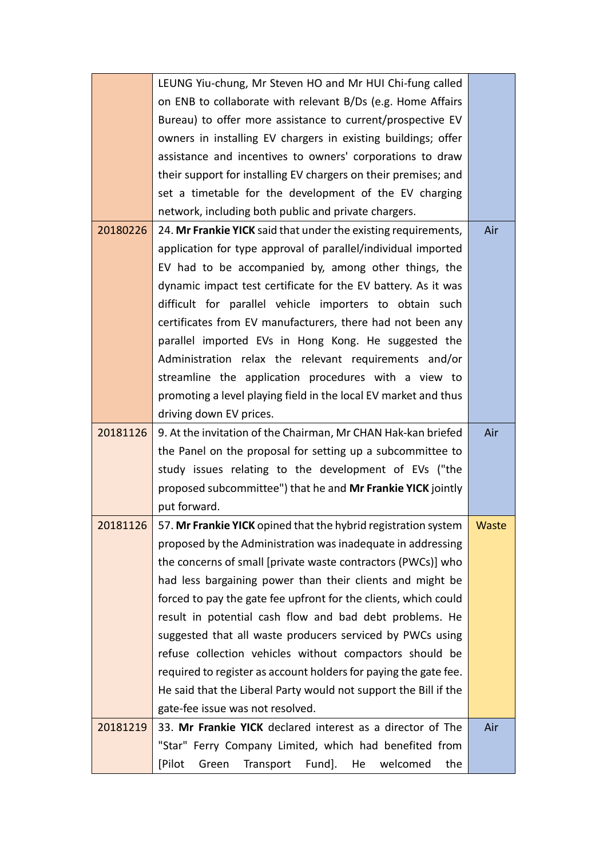|          | LEUNG Yiu-chung, Mr Steven HO and Mr HUI Chi-fung called         |       |  |  |  |  |
|----------|------------------------------------------------------------------|-------|--|--|--|--|
|          | on ENB to collaborate with relevant B/Ds (e.g. Home Affairs      |       |  |  |  |  |
|          | Bureau) to offer more assistance to current/prospective EV       |       |  |  |  |  |
|          | owners in installing EV chargers in existing buildings; offer    |       |  |  |  |  |
|          | assistance and incentives to owners' corporations to draw        |       |  |  |  |  |
|          | their support for installing EV chargers on their premises; and  |       |  |  |  |  |
|          | set a timetable for the development of the EV charging           |       |  |  |  |  |
|          | network, including both public and private chargers.             |       |  |  |  |  |
| 20180226 | 24. Mr Frankie YICK said that under the existing requirements,   | Air   |  |  |  |  |
|          | application for type approval of parallel/individual imported    |       |  |  |  |  |
|          | EV had to be accompanied by, among other things, the             |       |  |  |  |  |
|          | dynamic impact test certificate for the EV battery. As it was    |       |  |  |  |  |
|          | difficult for parallel vehicle importers to obtain such          |       |  |  |  |  |
|          | certificates from EV manufacturers, there had not been any       |       |  |  |  |  |
|          | parallel imported EVs in Hong Kong. He suggested the             |       |  |  |  |  |
|          | Administration relax the relevant requirements and/or            |       |  |  |  |  |
|          | streamline the application procedures with a view to             |       |  |  |  |  |
|          | promoting a level playing field in the local EV market and thus  |       |  |  |  |  |
|          | driving down EV prices.                                          |       |  |  |  |  |
| 20181126 | 9. At the invitation of the Chairman, Mr CHAN Hak-kan briefed    | Air   |  |  |  |  |
|          | the Panel on the proposal for setting up a subcommittee to       |       |  |  |  |  |
|          | study issues relating to the development of EVs ("the            |       |  |  |  |  |
|          | proposed subcommittee") that he and Mr Frankie YICK jointly      |       |  |  |  |  |
|          | put forward.                                                     |       |  |  |  |  |
| 20181126 | 57. Mr Frankie YICK opined that the hybrid registration system   | Waste |  |  |  |  |
|          | proposed by the Administration was inadequate in addressing      |       |  |  |  |  |
|          | the concerns of small [private waste contractors (PWCs)] who     |       |  |  |  |  |
|          | had less bargaining power than their clients and might be        |       |  |  |  |  |
|          | forced to pay the gate fee upfront for the clients, which could  |       |  |  |  |  |
|          | result in potential cash flow and bad debt problems. He          |       |  |  |  |  |
|          | suggested that all waste producers serviced by PWCs using        |       |  |  |  |  |
|          | refuse collection vehicles without compactors should be          |       |  |  |  |  |
|          | required to register as account holders for paying the gate fee. |       |  |  |  |  |
|          | He said that the Liberal Party would not support the Bill if the |       |  |  |  |  |
|          | gate-fee issue was not resolved.                                 |       |  |  |  |  |
| 20181219 | 33. Mr Frankie YICK declared interest as a director of The       | Air   |  |  |  |  |
|          | "Star" Ferry Company Limited, which had benefited from           |       |  |  |  |  |
|          | [Pilot<br>Transport<br>Fund].<br>welcomed<br>the<br>Green<br>He  |       |  |  |  |  |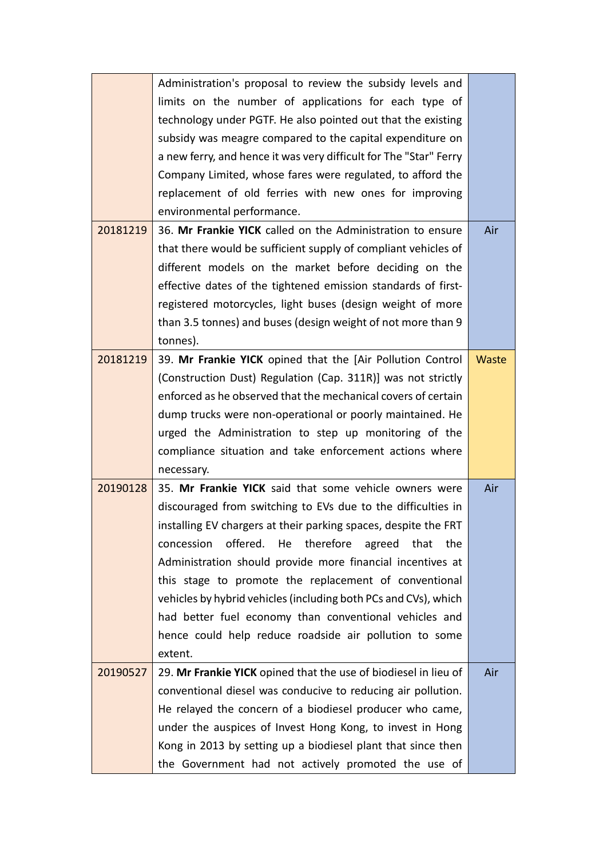|          | Administration's proposal to review the subsidy levels and        |       |
|----------|-------------------------------------------------------------------|-------|
|          | limits on the number of applications for each type of             |       |
|          | technology under PGTF. He also pointed out that the existing      |       |
|          | subsidy was meagre compared to the capital expenditure on         |       |
|          | a new ferry, and hence it was very difficult for The "Star" Ferry |       |
|          | Company Limited, whose fares were regulated, to afford the        |       |
|          | replacement of old ferries with new ones for improving            |       |
|          | environmental performance.                                        |       |
| 20181219 | 36. Mr Frankie YICK called on the Administration to ensure        | Air   |
|          | that there would be sufficient supply of compliant vehicles of    |       |
|          | different models on the market before deciding on the             |       |
|          | effective dates of the tightened emission standards of first-     |       |
|          | registered motorcycles, light buses (design weight of more        |       |
|          | than 3.5 tonnes) and buses (design weight of not more than 9      |       |
|          | tonnes).                                                          |       |
| 20181219 | 39. Mr Frankie YICK opined that the [Air Pollution Control        | Waste |
|          | (Construction Dust) Regulation (Cap. 311R)] was not strictly      |       |
|          | enforced as he observed that the mechanical covers of certain     |       |
|          | dump trucks were non-operational or poorly maintained. He         |       |
|          | urged the Administration to step up monitoring of the             |       |
|          | compliance situation and take enforcement actions where           |       |
|          | necessary.                                                        |       |
| 20190128 | 35. Mr Frankie YICK said that some vehicle owners were            | Air   |
|          | discouraged from switching to EVs due to the difficulties in      |       |
|          | installing EV chargers at their parking spaces, despite the FRT   |       |
|          | offered. He therefore agreed<br>concession<br>that<br>the         |       |
|          | Administration should provide more financial incentives at        |       |
|          | this stage to promote the replacement of conventional             |       |
|          | vehicles by hybrid vehicles (including both PCs and CVs), which   |       |
|          | had better fuel economy than conventional vehicles and            |       |
|          | hence could help reduce roadside air pollution to some            |       |
|          | extent.                                                           |       |
| 20190527 | 29. Mr Frankie YICK opined that the use of biodiesel in lieu of   | Air   |
|          | conventional diesel was conducive to reducing air pollution.      |       |
|          | He relayed the concern of a biodiesel producer who came,          |       |
|          | under the auspices of Invest Hong Kong, to invest in Hong         |       |
|          | Kong in 2013 by setting up a biodiesel plant that since then      |       |
|          | the Government had not actively promoted the use of               |       |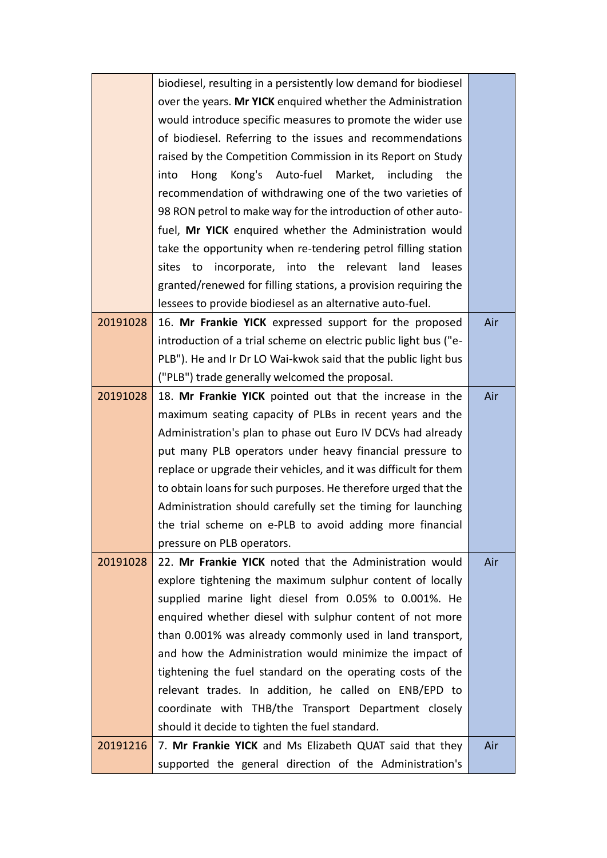|          | biodiesel, resulting in a persistently low demand for biodiesel  |     |  |  |  |  |  |
|----------|------------------------------------------------------------------|-----|--|--|--|--|--|
|          | over the years. Mr YICK enquired whether the Administration      |     |  |  |  |  |  |
|          | would introduce specific measures to promote the wider use       |     |  |  |  |  |  |
|          | of biodiesel. Referring to the issues and recommendations        |     |  |  |  |  |  |
|          | raised by the Competition Commission in its Report on Study      |     |  |  |  |  |  |
|          | Auto-fuel Market,<br>Kong's<br>including<br>the<br>into<br>Hong  |     |  |  |  |  |  |
|          | recommendation of withdrawing one of the two varieties of        |     |  |  |  |  |  |
|          | 98 RON petrol to make way for the introduction of other auto-    |     |  |  |  |  |  |
|          | fuel, Mr YICK enquired whether the Administration would          |     |  |  |  |  |  |
|          | take the opportunity when re-tendering petrol filling station    |     |  |  |  |  |  |
|          | to incorporate, into the relevant<br>land<br>leases<br>sites     |     |  |  |  |  |  |
|          | granted/renewed for filling stations, a provision requiring the  |     |  |  |  |  |  |
|          | lessees to provide biodiesel as an alternative auto-fuel.        |     |  |  |  |  |  |
| 20191028 | 16. Mr Frankie YICK expressed support for the proposed           | Air |  |  |  |  |  |
|          | introduction of a trial scheme on electric public light bus ("e- |     |  |  |  |  |  |
|          | PLB"). He and Ir Dr LO Wai-kwok said that the public light bus   |     |  |  |  |  |  |
|          | ("PLB") trade generally welcomed the proposal.                   |     |  |  |  |  |  |
| 20191028 | 18. Mr Frankie YICK pointed out that the increase in the         |     |  |  |  |  |  |
|          | maximum seating capacity of PLBs in recent years and the         |     |  |  |  |  |  |
|          | Administration's plan to phase out Euro IV DCVs had already      |     |  |  |  |  |  |
|          | put many PLB operators under heavy financial pressure to         |     |  |  |  |  |  |
|          | replace or upgrade their vehicles, and it was difficult for them |     |  |  |  |  |  |
|          | to obtain loans for such purposes. He therefore urged that the   |     |  |  |  |  |  |
|          | Administration should carefully set the timing for launching     |     |  |  |  |  |  |
|          | the trial scheme on e-PLB to avoid adding more financial         |     |  |  |  |  |  |
|          | pressure on PLB operators.                                       |     |  |  |  |  |  |
| 20191028 | 22. Mr Frankie YICK noted that the Administration would          | Air |  |  |  |  |  |
|          | explore tightening the maximum sulphur content of locally        |     |  |  |  |  |  |
|          | supplied marine light diesel from 0.05% to 0.001%. He            |     |  |  |  |  |  |
|          | enquired whether diesel with sulphur content of not more         |     |  |  |  |  |  |
|          | than 0.001% was already commonly used in land transport,         |     |  |  |  |  |  |
|          | and how the Administration would minimize the impact of          |     |  |  |  |  |  |
|          | tightening the fuel standard on the operating costs of the       |     |  |  |  |  |  |
|          | relevant trades. In addition, he called on ENB/EPD to            |     |  |  |  |  |  |
|          | coordinate with THB/the Transport Department closely             |     |  |  |  |  |  |
|          | should it decide to tighten the fuel standard.                   |     |  |  |  |  |  |
| 20191216 | 7. Mr Frankie YICK and Ms Elizabeth QUAT said that they          |     |  |  |  |  |  |
|          | supported the general direction of the Administration's          |     |  |  |  |  |  |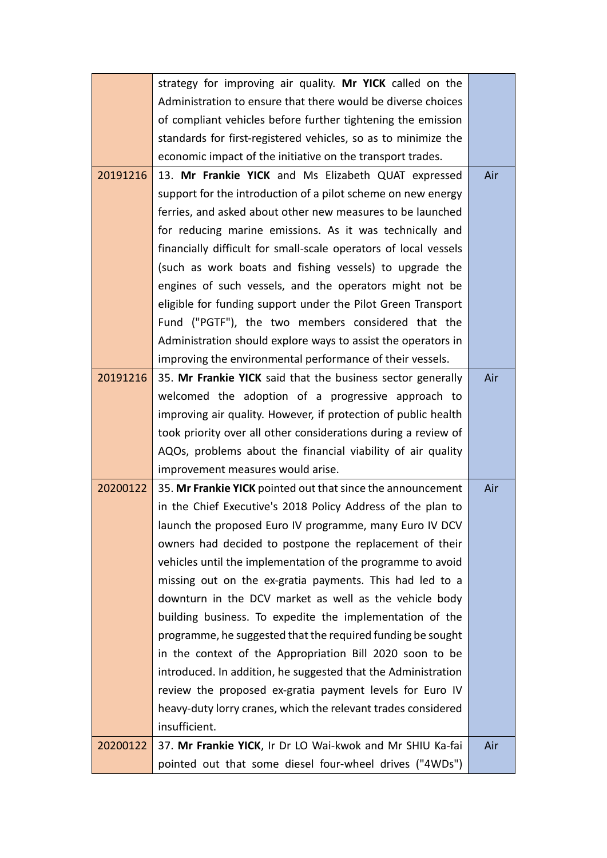|          | strategy for improving air quality. Mr YICK called on the        |     |
|----------|------------------------------------------------------------------|-----|
|          | Administration to ensure that there would be diverse choices     |     |
|          | of compliant vehicles before further tightening the emission     |     |
|          | standards for first-registered vehicles, so as to minimize the   |     |
|          | economic impact of the initiative on the transport trades.       |     |
| 20191216 | 13. Mr Frankie YICK and Ms Elizabeth QUAT expressed              | Air |
|          | support for the introduction of a pilot scheme on new energy     |     |
|          | ferries, and asked about other new measures to be launched       |     |
|          | for reducing marine emissions. As it was technically and         |     |
|          | financially difficult for small-scale operators of local vessels |     |
|          | (such as work boats and fishing vessels) to upgrade the          |     |
|          | engines of such vessels, and the operators might not be          |     |
|          | eligible for funding support under the Pilot Green Transport     |     |
|          | Fund ("PGTF"), the two members considered that the               |     |
|          | Administration should explore ways to assist the operators in    |     |
|          | improving the environmental performance of their vessels.        |     |
| 20191216 | 35. Mr Frankie YICK said that the business sector generally      | Air |
|          | welcomed the adoption of a progressive approach to               |     |
|          | improving air quality. However, if protection of public health   |     |
|          | took priority over all other considerations during a review of   |     |
|          | AQOs, problems about the financial viability of air quality      |     |
|          | improvement measures would arise.                                |     |
| 20200122 | 35. Mr Frankie YICK pointed out that since the announcement      | Air |
|          | in the Chief Executive's 2018 Policy Address of the plan to      |     |
|          | launch the proposed Euro IV programme, many Euro IV DCV          |     |
|          | owners had decided to postpone the replacement of their          |     |
|          | vehicles until the implementation of the programme to avoid      |     |
|          | missing out on the ex-gratia payments. This had led to a         |     |
|          | downturn in the DCV market as well as the vehicle body           |     |
|          | building business. To expedite the implementation of the         |     |
|          | programme, he suggested that the required funding be sought      |     |
|          | in the context of the Appropriation Bill 2020 soon to be         |     |
|          | introduced. In addition, he suggested that the Administration    |     |
|          | review the proposed ex-gratia payment levels for Euro IV         |     |
|          | heavy-duty lorry cranes, which the relevant trades considered    |     |
|          | insufficient.                                                    |     |
| 20200122 | 37. Mr Frankie YICK, Ir Dr LO Wai-kwok and Mr SHIU Ka-fai        | Air |
|          | pointed out that some diesel four-wheel drives ("4WDs")          |     |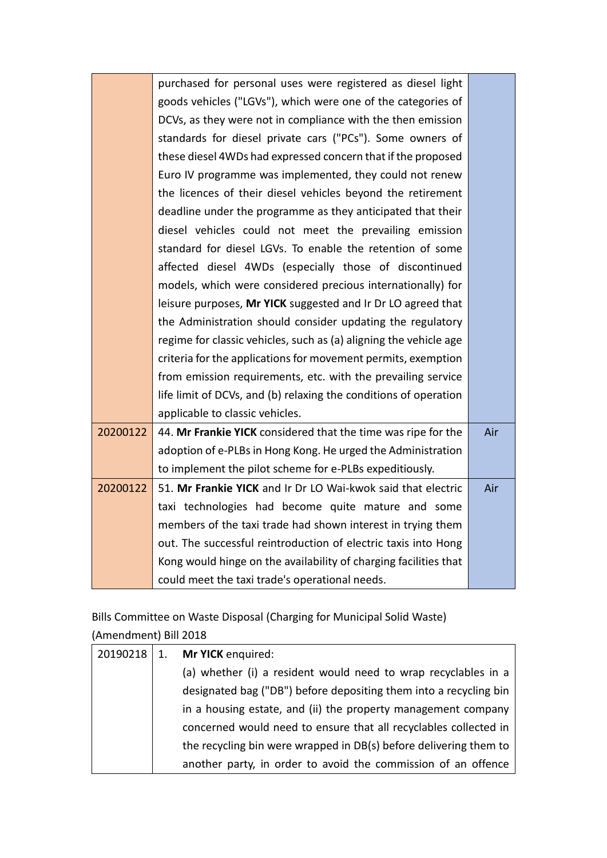|          | purchased for personal uses were registered as diesel light       |     |
|----------|-------------------------------------------------------------------|-----|
|          | goods vehicles ("LGVs"), which were one of the categories of      |     |
|          | DCVs, as they were not in compliance with the then emission       |     |
|          | standards for diesel private cars ("PCs"). Some owners of         |     |
|          | these diesel 4WDs had expressed concern that if the proposed      |     |
|          | Euro IV programme was implemented, they could not renew           |     |
|          | the licences of their diesel vehicles beyond the retirement       |     |
|          | deadline under the programme as they anticipated that their       |     |
|          | diesel vehicles could not meet the prevailing emission            |     |
|          | standard for diesel LGVs. To enable the retention of some         |     |
|          | affected diesel 4WDs (especially those of discontinued            |     |
|          | models, which were considered precious internationally) for       |     |
|          | leisure purposes, Mr YICK suggested and Ir Dr LO agreed that      |     |
|          | the Administration should consider updating the regulatory        |     |
|          | regime for classic vehicles, such as (a) aligning the vehicle age |     |
|          | criteria for the applications for movement permits, exemption     |     |
|          | from emission requirements, etc. with the prevailing service      |     |
|          | life limit of DCVs, and (b) relaxing the conditions of operation  |     |
|          | applicable to classic vehicles.                                   |     |
| 20200122 | 44. Mr Frankie YICK considered that the time was ripe for the     | Air |
|          | adoption of e-PLBs in Hong Kong. He urged the Administration      |     |
|          | to implement the pilot scheme for e-PLBs expeditiously.           |     |
| 20200122 | 51. Mr Frankie YICK and Ir Dr LO Wai-kwok said that electric      | Air |
|          | taxi technologies had become quite mature and some                |     |
|          | members of the taxi trade had shown interest in trying them       |     |
|          | out. The successful reintroduction of electric taxis into Hong    |     |
|          | Kong would hinge on the availability of charging facilities that  |     |
|          | could meet the taxi trade's operational needs.                    |     |

Bills Committee on Waste Disposal (Charging for Municipal Solid Waste)

| (Amendment) Bill 2018 |  |
|-----------------------|--|
|-----------------------|--|

| 20190218 | $\cdot$ 1. | Mr YICK enquired:                                                 |
|----------|------------|-------------------------------------------------------------------|
|          |            | (a) whether (i) a resident would need to wrap recyclables in a    |
|          |            | designated bag ("DB") before depositing them into a recycling bin |
|          |            | in a housing estate, and (ii) the property management company     |
|          |            | concerned would need to ensure that all recyclables collected in  |
|          |            | the recycling bin were wrapped in DB(s) before delivering them to |
|          |            | another party, in order to avoid the commission of an offence     |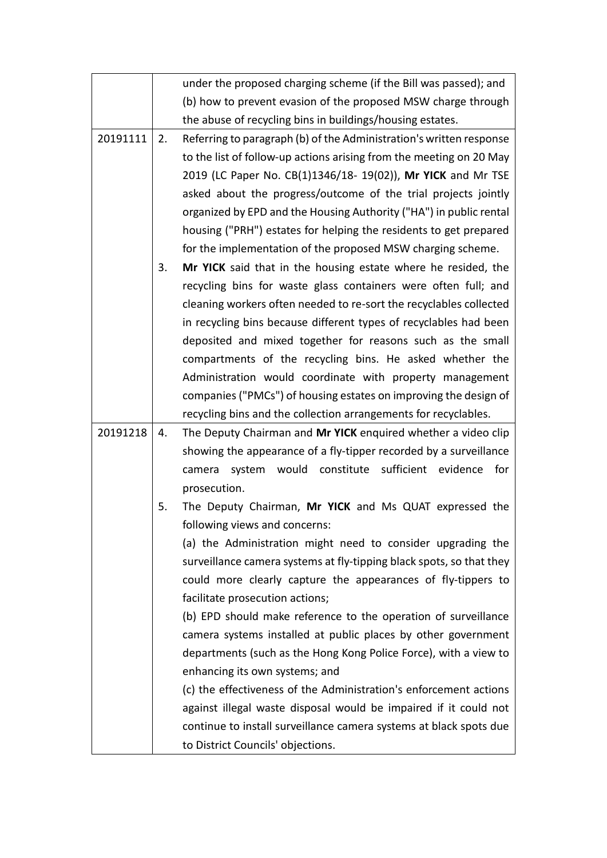|          |    | under the proposed charging scheme (if the Bill was passed); and     |
|----------|----|----------------------------------------------------------------------|
|          |    | (b) how to prevent evasion of the proposed MSW charge through        |
|          |    | the abuse of recycling bins in buildings/housing estates.            |
| 20191111 | 2. | Referring to paragraph (b) of the Administration's written response  |
|          |    | to the list of follow-up actions arising from the meeting on 20 May  |
|          |    | 2019 (LC Paper No. CB(1)1346/18- 19(02)), Mr YICK and Mr TSE         |
|          |    | asked about the progress/outcome of the trial projects jointly       |
|          |    | organized by EPD and the Housing Authority ("HA") in public rental   |
|          |    | housing ("PRH") estates for helping the residents to get prepared    |
|          |    | for the implementation of the proposed MSW charging scheme.          |
|          | 3. | Mr YICK said that in the housing estate where he resided, the        |
|          |    | recycling bins for waste glass containers were often full; and       |
|          |    | cleaning workers often needed to re-sort the recyclables collected   |
|          |    | in recycling bins because different types of recyclables had been    |
|          |    | deposited and mixed together for reasons such as the small           |
|          |    | compartments of the recycling bins. He asked whether the             |
|          |    | Administration would coordinate with property management             |
|          |    | companies ("PMCs") of housing estates on improving the design of     |
|          |    | recycling bins and the collection arrangements for recyclables.      |
| 20191218 | 4. | The Deputy Chairman and Mr YICK enquired whether a video clip        |
|          |    | showing the appearance of a fly-tipper recorded by a surveillance    |
|          |    | would constitute sufficient evidence<br>for<br>camera<br>system      |
|          |    | prosecution.                                                         |
|          | 5. | The Deputy Chairman, Mr YICK and Ms QUAT expressed the               |
|          |    | following views and concerns:                                        |
|          |    | (a) the Administration might need to consider upgrading the          |
|          |    | surveillance camera systems at fly-tipping black spots, so that they |
|          |    | could more clearly capture the appearances of fly-tippers to         |
|          |    | facilitate prosecution actions;                                      |
|          |    | (b) EPD should make reference to the operation of surveillance       |
|          |    | camera systems installed at public places by other government        |
|          |    | departments (such as the Hong Kong Police Force), with a view to     |
|          |    | enhancing its own systems; and                                       |
|          |    | (c) the effectiveness of the Administration's enforcement actions    |
|          |    | against illegal waste disposal would be impaired if it could not     |
|          |    | continue to install surveillance camera systems at black spots due   |
|          |    | to District Councils' objections.                                    |